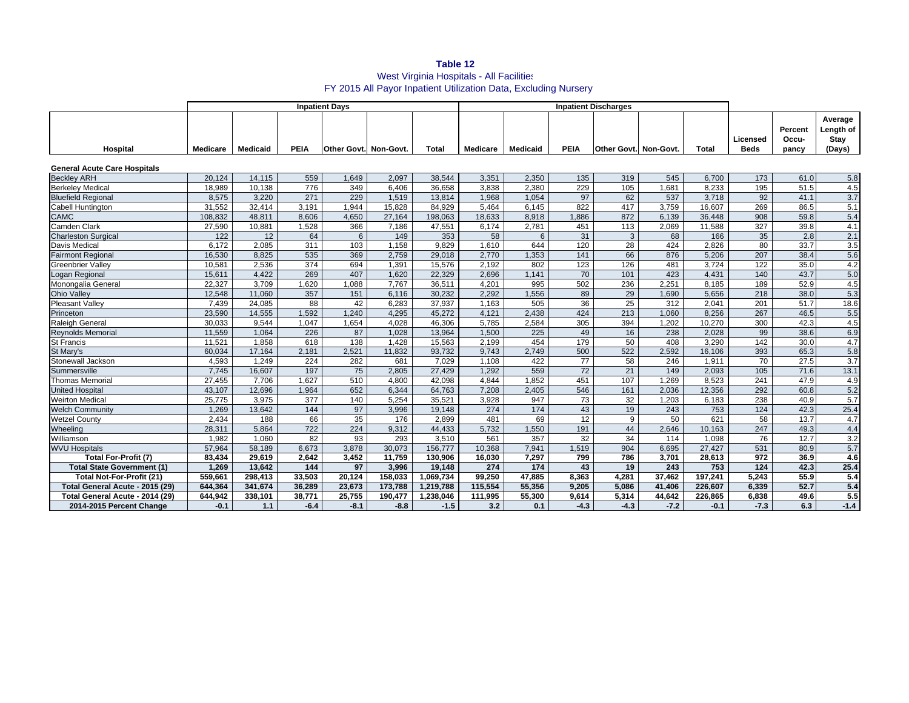# **Table 12** West Virginia Hospitals - All Facilities FY 2015 All Payor Inpatient Utilization Data, Excluding Nursery

|                                     | <b>Inpatient Days</b> |          |             |                       |         |           |          | <b>Inpatient Discharges</b> |             |                       |        |         |                         |                           |                                        |
|-------------------------------------|-----------------------|----------|-------------|-----------------------|---------|-----------|----------|-----------------------------|-------------|-----------------------|--------|---------|-------------------------|---------------------------|----------------------------------------|
| Hospital                            | <b>Medicare</b>       | Medicaid | <b>PEIA</b> | Other Govt. Non-Govt. |         | Total     | Medicare | Medicaid                    | <b>PEIA</b> | Other Govt. Non-Govt. |        | Total   | Licensed<br><b>Beds</b> | Percent<br>Occu-<br>pancy | Average<br>Length of<br>Stay<br>(Days) |
| <b>General Acute Care Hospitals</b> |                       |          |             |                       |         |           |          |                             |             |                       |        |         |                         |                           |                                        |
| <b>Beckley ARH</b>                  | 20,124                | 14,115   | 559         | 1,649                 | 2,097   | 38,544    | 3,351    | 2,350                       | 135         | 319                   | 545    | 6,700   | 173                     | 61.0                      | 5.8                                    |
| <b>Berkeley Medical</b>             | 18.989                | 10.138   | 776         | 349                   | 6.406   | 36.658    | 3.838    | 2.380                       | 229         | 105                   | 1.681  | 8.233   | 195                     | 51.5                      | 4.5                                    |
| <b>Bluefield Regional</b>           | 8,575                 | 3,220    | 271         | 229                   | 1,519   | 13,814    | 1,968    | 1,054                       | 97          | 62                    | 537    | 3,718   | 92                      | 41.1                      | 3.7                                    |
| <b>Cabell Huntington</b>            | 31,552                | 32,414   | 3,191       | 1,944                 | 15,828  | 84,929    | 5,464    | 6,145                       | 822         | 417                   | 3,759  | 16,607  | 269                     | 86.5                      | 5.1                                    |
| <b>CAMC</b>                         | 108,832               | 48,811   | 8,606       | 4,650                 | 27,164  | 198,063   | 18,633   | 8,918                       | 1.886       | 872                   | 6,139  | 36,448  | 908                     | 59.8                      | 5.4                                    |
| <b>Camden Clark</b>                 | 27,590                | 10,881   | 1,528       | 366                   | 7,186   | 47,551    | 6.174    | 2,781                       | 451         | 113                   | 2,069  | 11,588  | 327                     | 39.8                      | 4.1                                    |
| <b>Charleston Surgical</b>          | 122                   | 12       | 64          | 6                     | 149     | 353       | 58       | 6                           | 31          | 3                     | 68     | 166     | 35                      | 2.8                       | 2.1                                    |
| Davis Medical                       | 6,172                 | 2,085    | 311         | 103                   | 1,158   | 9,829     | 1,610    | 644                         | 120         | 28                    | 424    | 2,826   | 80                      | 33.7                      | 3.5                                    |
| <b>Fairmont Regional</b>            | 16,530                | 8,825    | 535         | 369                   | 2,759   | 29,018    | 2,770    | 1,353                       | 141         | 66                    | 876    | 5,206   | 207                     | 38.4                      | 5.6                                    |
| <b>Greenbrier Valley</b>            | 10,581                | 2,536    | 374         | 694                   | 1,391   | 15,576    | 2,192    | 802                         | 123         | 126                   | 481    | 3.724   | 122                     | 35.0                      | 4.2                                    |
| Logan Regional                      | 15,611                | 4,422    | 269         | 407                   | 1,620   | 22,329    | 2,696    | 1,141                       | 70          | 101                   | 423    | 4,431   | 140                     | 43.7                      | 5.0                                    |
| Monongalia General                  | 22,327                | 3,709    | 1,620       | 1,088                 | 7,767   | 36,511    | 4,201    | 995                         | 502         | 236                   | 2,251  | 8,185   | 189                     | 52.9                      | 4.5                                    |
| <b>Ohio Valley</b>                  | 12,548                | 11,060   | 357         | 151                   | 6,116   | 30,232    | 2,292    | 1,556                       | 89          | 29                    | 1,690  | 5,656   | 218                     | 38.0                      | 5.3                                    |
| <b>Pleasant Valley</b>              | 7,439                 | 24,085   | 88          | 42                    | 6.283   | 37,937    | 1.163    | 505                         | 36          | $\overline{25}$       | 312    | 2,041   | 201                     | 51.7                      | 18.6                                   |
| Princeton                           | 23,590                | 14,555   | 1,592       | 1,240                 | 4,295   | 45,272    | 4,121    | 2,438                       | 424         | 213                   | 1,060  | 8,256   | 267                     | 46.5                      | 5.5                                    |
| Raleigh General                     | 30,033                | 9,544    | 1,047       | 1,654                 | 4,028   | 46,306    | 5,785    | 2,584                       | 305         | 394                   | 1,202  | 10,270  | 300                     | 42.3                      | 4.5                                    |
| <b>Revnolds Memorial</b>            | 11.559                | 1.064    | 226         | 87                    | 1.028   | 13.964    | 1,500    | 225                         | 49          | 16                    | 238    | 2.028   | 99                      | 38.6                      | 6.9                                    |
| <b>St Francis</b>                   | 11,521                | 1,858    | 618         | 138                   | 1,428   | 15,563    | 2,199    | 454                         | 179         | 50                    | 408    | 3,290   | 142                     | 30.0                      | 4.7                                    |
| St Mary's                           | 60,034                | 17,164   | 2,181       | 2,521                 | 11,832  | 93,732    | 9.743    | 2.749                       | 500         | 522                   | 2,592  | 16,106  | 393                     | 65.3                      | 5.8                                    |
| Stonewall Jackson                   | 4,593                 | 1.249    | 224         | 282                   | 681     | 7,029     | 1,108    | 422                         | 77          | 58                    | 246    | 1,911   | 70                      | 27.5                      | $\overline{3.7}$                       |
| Summersville                        | 7,745                 | 16,607   | 197         | 75                    | 2,805   | 27,429    | 1,292    | 559                         | 72          | 21                    | 149    | 2,093   | 105                     | 71.6                      | 13.1                                   |
| <b>Thomas Memorial</b>              | 27,455                | 7,706    | 1,627       | 510                   | 4.800   | 42,098    | 4,844    | 1,852                       | 451         | 107                   | 1,269  | 8,523   | 241                     | 47.9                      | 4.9                                    |
| <b>United Hospital</b>              | 43,107                | 12,696   | 1,964       | 652                   | 6,344   | 64,763    | 7.208    | 2.405                       | 546         | 161                   | 2.036  | 12.356  | 292                     | 60.8                      | 5.2                                    |
| <b>Weirton Medical</b>              | 25,775                | 3.975    | 377         | 140                   | 5,254   | 35,521    | 3,928    | 947                         | 73          | 32                    | 1,203  | 6.183   | 238                     | 40.9                      | 5.7                                    |
| <b>Welch Community</b>              | 1,269                 | 13,642   | 144         | 97                    | 3,996   | 19,148    | 274      | 174                         | 43          | 19                    | 243    | 753     | 124                     | 42.3                      | 25.4                                   |
| <b>Wetzel County</b>                | 2,434                 | 188      | 66          | 35                    | 176     | 2,899     | 481      | 69                          | 12          | 9                     | 50     | 621     | 58                      | 13.7                      | 4.7                                    |
| Wheeling                            | 28.311                | 5.864    | 722         | 224                   | 9,312   | 44.433    | 5.732    | 1.550                       | 191         | 44                    | 2.646  | 10.163  | 247                     | 49.3                      | 4.4                                    |
| Williamson                          | 1,982                 | 1,060    | 82          | 93                    | 293     | 3,510     | 561      | 357                         | 32          | 34                    | 114    | 1,098   | 76                      | 12.7                      | 3.2                                    |
| <b>WVU Hospitals</b>                | 57,964                | 58,189   | 6,673       | 3,878                 | 30,073  | 156,777   | 10,368   | 7,941                       | 1,519       | 904                   | 6,695  | 27,427  | 531                     | 80.9                      | 5.7                                    |
| <b>Total For-Profit (7)</b>         | 83,434                | 29,619   | 2.642       | 3,452                 | 11,759  | 130,906   | 16,030   | 7,297                       | 799         | 786                   | 3,701  | 28,613  | 972                     | 36.9                      | 4.6                                    |
| <b>Total State Government (1)</b>   | 1.269                 | 13.642   | 144         | 97                    | 3.996   | 19.148    | 274      | 174                         | 43          | 19                    | 243    | 753     | 124                     | 42.3                      | 25.4                                   |
| Total Not-For-Profit (21)           | 559,661               | 298,413  | 33,503      | 20,124                | 158,033 | 1,069,734 | 99,250   | 47,885                      | 8,363       | 4,281                 | 37,462 | 197,241 | 5.243                   | 55.9                      | 5.4                                    |
| Total General Acute - 2015 (29)     | 644,364               | 341,674  | 36,289      | 23,673                | 173,788 | 1,219,788 | 115,554  | 55,356                      | 9,205       | 5,086                 | 41,406 | 226,607 | 6,339                   | 52.7                      | 5.4                                    |
| Total General Acute - 2014 (29)     | 644,942               | 338.101  | 38,771      | 25,755                | 190,477 | 1,238,046 | 111,995  | 55,300                      | 9,614       | 5,314                 | 44,642 | 226,865 | 6,838                   | 49.6                      | 5.5                                    |
| 2014-2015 Percent Change            | $-0.1$                | 1.1      | $-6.4$      | $-8.1$                | $-8.8$  | $-1.5$    | 3.2      | 0.1                         | $-4.3$      | $-4.3$                | $-7.2$ | $-0.1$  | $-7.3$                  | 6.3                       | $-1.4$                                 |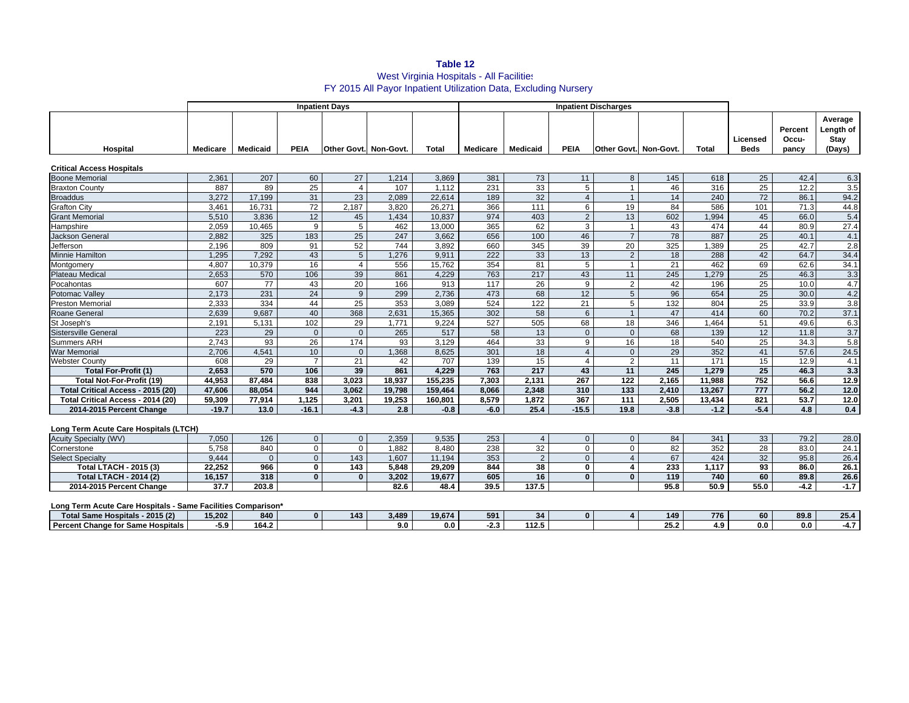# **Table 12** West Virginia Hospitals - All Facilities FY 2015 All Payor Inpatient Utilization Data, Excluding Nursery

|                                   | <b>Inpatient Days</b> |                 |             |                              |        |         |                 | <b>Inpatient Discharges</b> |                |                              |        |        |                         |                           |                                        |
|-----------------------------------|-----------------------|-----------------|-------------|------------------------------|--------|---------|-----------------|-----------------------------|----------------|------------------------------|--------|--------|-------------------------|---------------------------|----------------------------------------|
| Hospital                          | Medicare              | <b>Medicaid</b> | <b>PEIA</b> | <b>Other Govt. Non-Govt.</b> |        | Total   | <b>Medicare</b> | <b>Medicaid</b>             | <b>PEIA</b>    | <b>Other Govt. Non-Govt.</b> |        | Total  | Licensed<br><b>Beds</b> | Percent<br>Occu-<br>pancy | Average<br>Length of<br>Stay<br>(Days) |
| <b>Critical Access Hospitals</b>  |                       |                 |             |                              |        |         |                 |                             |                |                              |        |        |                         |                           |                                        |
| <b>Boone Memorial</b>             | 2,361                 | 207             | 60          | 27                           | 1,214  | 3,869   | 381             | 73                          | 11             | 8                            | 145    | 618    | 25                      | 42.4                      | 6.3                                    |
| <b>Braxton County</b>             | 887                   | 89              | 25          | 4                            | 107    | 1.112   | 231             | 33                          | 5              |                              | 46     | 316    | 25                      | 12.2                      | 3.5                                    |
| <b>Broaddus</b>                   | 3.272                 | 17,199          | 31          | 23                           | 2,089  | 22,614  | 189             | 32                          | $\overline{4}$ |                              | 14     | 240    | 72                      | 86.1                      | 94.2                                   |
| <b>Grafton City</b>               | 3,461                 | 16.731          | 72          | 2.187                        | 3,820  | 26.271  | 366             | 111                         | 6              | 19                           | 84     | 586    | 101                     | 71.3                      | 44.8                                   |
| <b>Grant Memorial</b>             | 5,510                 | 3.836           | 12          | 45                           | 1,434  | 10.837  | 974             | 403                         | $\overline{2}$ | 13                           | 602    | 1,994  | 45                      | 66.0                      | 5.4                                    |
| Hampshire                         | 2,059                 | 10,465          | 9           | 5                            | 462    | 13,000  | 365             | 62                          | 3              |                              | 43     | 474    | 44                      | 80.9                      | 27.4                                   |
| <b>Jackson General</b>            | 2.882                 | 325             | 183         | 25                           | 247    | 3.662   | 656             | 100                         | 46             | $\overline{7}$               | 78     | 887    | 25                      | 40.1                      | 4.1                                    |
| Jefferson                         | 2,196                 | 809             | 91          | 52                           | 744    | 3,892   | 660             | 345                         | 39             | 20                           | 325    | 1,389  | 25                      | 42.7                      | 2.8                                    |
| <b>Minnie Hamilton</b>            | 1.295                 | 7.292           | 43          | 5                            | 1.276  | 9.911   | 222             | 33                          | 13             | 2                            | 18     | 288    | 42                      | 64.7                      | 34.4                                   |
| Montgomery                        | 4,807                 | 10,379          | 16          | 4                            | 556    | 15,762  | 354             | 81                          | 5              |                              | 21     | 462    | 69                      | 62.6                      | 34.1                                   |
| <b>Plateau Medical</b>            | 2,653                 | 570             | 106         | 39                           | 861    | 4,229   | 763             | 217                         | 43             | 11                           | 245    | 1,279  | 25                      | 46.3                      | 3.3                                    |
| Pocahontas                        | 607                   | 77              | 43          | 20                           | 166    | 913     | 117             | 26                          | 9              | 2                            | 42     | 196    | 25                      | 10.0                      | 4.7                                    |
| Potomac Vallev                    | 2.173                 | 231             | 24          | 9                            | 299    | 2.736   | 473             | 68                          | 12             | $5^{\circ}$                  | 96     | 654    | 25                      | 30.0                      | 4.2                                    |
| <b>Preston Memorial</b>           | 2,333                 | 334             | 44          | 25                           | 353    | 3.089   | 524             | 122                         | 21             | 5                            | 132    | 804    | 25                      | 33.9                      | 3.8                                    |
| Roane General                     | 2,639                 | 9,687           | 40          | 368                          | 2,631  | 15,365  | 302             | 58                          | 6              |                              | 47     | 414    | 60                      | 70.2                      | 37.1                                   |
| St Joseph's                       | 2,191                 | 5,131           | 102         | 29                           | 1.771  | 9,224   | 527             | 505                         | 68             | 18                           | 346    | ,464   | 51                      | 49.6                      | 6.3                                    |
| <b>Sistersville General</b>       | 223                   | 29              | $\Omega$    | $\Omega$                     | 265    | 517     | 58              | 13                          | $\Omega$       | $\Omega$                     | 68     | 139    | 12 <sup>2</sup>         | 11.8                      | 3.7                                    |
| <b>Summers ARH</b>                | 2.743                 | 93              | 26          | 174                          | 93     | 3,129   | 464             | 33                          | 9              | 16                           | 18     | 540    | 25                      | 34.3                      | 5.8                                    |
| <b>War Memorial</b>               | 2,706                 | 4,541           | 10          | $\Omega$                     | 1,368  | 8,625   | 301             | 18                          | $\Delta$       |                              | 29     | 352    | 41                      | 57.6                      | 24.5                                   |
| <b>Webster County</b>             | 608                   | 29              |             | 21                           | 42     | 707     | 139             | 15                          | $\overline{4}$ | 2                            | 11     | 171    | 15 <sub>15</sub>        | 12.9                      | 4.1                                    |
| <b>Total For-Profit (1)</b>       | 2.653                 | 570             | 106         | 39                           | 861    | 4,229   | 763             | 217                         | 43             | 11                           | 245    | 1.279  | 25                      | 46.3                      | 3.3                                    |
| <b>Total Not-For-Profit (19)</b>  | 44.953                | 87.484          | 838         | 3.023                        | 18.937 | 155.235 | 7.303           | 2.131                       | 267            | 122                          | 2.165  | 11.988 | 752                     | 56.6                      | 12.9                                   |
| Total Critical Access - 2015 (20) | 47.606                | 88.054          | 944         | 3.062                        | 19.798 | 159.464 | 8.066           | 2,348                       | 310            | 133                          | 2,410  | 13,267 | 777                     | 56.2                      | $12.0$                                 |
| Total Critical Access - 2014 (20) | 59,309                | 77.914          | 1.125       | 3.201                        | 19.253 | 160.801 | 8.579           | 1.872                       | 367            | 111                          | 2,505  | 13,434 | 821                     | 53.7                      | 12.0                                   |
| 2014-2015 Percent Change          | $-19.7$               | 13.0            | $-16.1$     | $-4.3$                       | 2.8    | $-0.8$  | $-6.0$          | 25.4                        | $-15.5$        | 19.8                         | $-3.8$ | $-1.2$ | $-5.4$                  | 4.8                       | 0.4                                    |

### **Long Term Acute Care Hospitals (LTCH)**

| <b>Acuity Specialty (WV)</b>  | 7,050  | 126   |     | 2,359 | 9,535  | 253  |          |  |      | 341   | 33   | 79.2   | 28.0   |
|-------------------------------|--------|-------|-----|-------|--------|------|----------|--|------|-------|------|--------|--------|
| Cornerstone                   | 5,758  | 840   |     | .882  | 8.480  | 238  | ົດ<br>ےد |  |      | 352   | 28   | 83.0   | 24.1   |
| <b>Select Specialty</b>       | 9.444  |       | 143 | .607  | 11,194 | 353  |          |  |      | 424   | 32   | 95.8   | 26.4   |
| Total LTACH - 2015 (3)        | 22.252 | 966   | 143 | 5.848 | 29.209 | 844  | 38       |  | 233  | 1.117 | 93   | 86.0   | 26.1   |
| <b>Total LTACH - 2014 (2)</b> | 16.157 | 318   |     | 3.202 | 19.677 | 605  |          |  | 119  | 740   | 60   | 89.8   | 26.6   |
| 2014-2015 Percent Change      | 37.7   | 203.8 |     | 82.6  | 48.4   | 39.5 | 137.5    |  | 95.8 | 50.9  | 55.0 | $-4.2$ | $-1.7$ |

#### **Long Term Acute Care Hospitals - Same Facilities Comparison\***

| Long Tomm Aouto Caro Hoophalo                           |            |       |              |     |       |        |            |         |   |     |     |     |      |      |
|---------------------------------------------------------|------------|-------|--------------|-----|-------|--------|------------|---------|---|-----|-----|-----|------|------|
| $-2015(2)$<br>$-1$ $-1$ $-$<br>iame Hospitals<br>otal S | 15.202     | 840   | <sup>0</sup> | 143 | 3,489 | 19.674 | 501<br>. . |         | 0 | 149 | 776 | 60  | 89.8 | 25.4 |
| Percen<br>at Change for "<br>Hospitals<br>Same          | : ດ<br>. . | 164.2 |              |     |       | 0.0    | 2.J        | <br>143 |   | --- |     | 0.0 | 0.0  | 7. L |